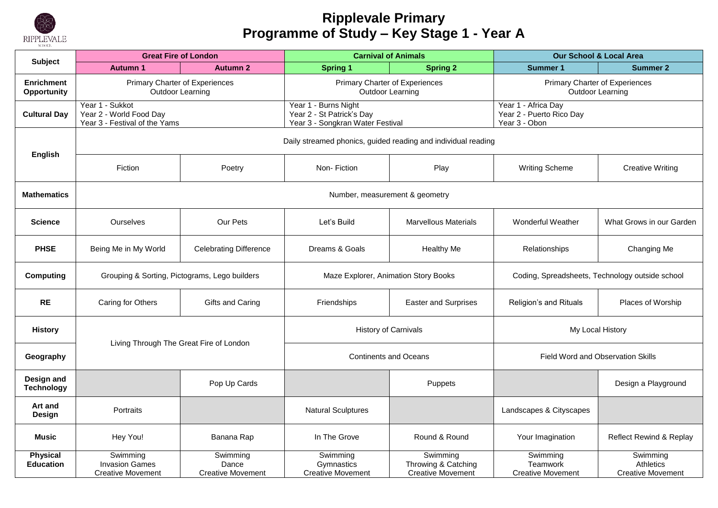

#### **Ripplevale Primary Programme of Study – Key Stage 1 - Year A**

|                                     | <b>Great Fire of London</b>                                                 |                                               | <b>Carnival of Animals</b>                                                            |                                                             | <b>Our School &amp; Local Area</b>                               |                                                          |  |  |
|-------------------------------------|-----------------------------------------------------------------------------|-----------------------------------------------|---------------------------------------------------------------------------------------|-------------------------------------------------------------|------------------------------------------------------------------|----------------------------------------------------------|--|--|
| <b>Subject</b>                      | <b>Autumn 1</b>                                                             | <b>Autumn 2</b>                               | <b>Spring 1</b>                                                                       | <b>Spring 2</b>                                             | <b>Summer 1</b>                                                  | <b>Summer 2</b>                                          |  |  |
| <b>Enrichment</b><br>Opportunity    | <b>Primary Charter of Experiences</b><br>Outdoor Learning                   |                                               | Primary Charter of Experiences<br>Outdoor Learning                                    |                                                             | Primary Charter of Experiences<br>Outdoor Learning               |                                                          |  |  |
| <b>Cultural Day</b>                 | Year 1 - Sukkot<br>Year 2 - World Food Day<br>Year 3 - Festival of the Yams |                                               | Year 1 - Burns Night<br>Year 2 - St Patrick's Day<br>Year 3 - Songkran Water Festival |                                                             | Year 1 - Africa Day<br>Year 2 - Puerto Rico Day<br>Year 3 - Obon |                                                          |  |  |
| <b>English</b>                      | Daily streamed phonics, guided reading and individual reading               |                                               |                                                                                       |                                                             |                                                                  |                                                          |  |  |
|                                     | Fiction                                                                     | Poetry                                        | Non-Fiction                                                                           | Play                                                        | <b>Writing Scheme</b>                                            | <b>Creative Writing</b>                                  |  |  |
| <b>Mathematics</b>                  |                                                                             |                                               | Number, measurement & geometry                                                        |                                                             |                                                                  |                                                          |  |  |
| Science                             | <b>Ourselves</b>                                                            | Our Pets                                      | Let's Build                                                                           | <b>Marvellous Materials</b>                                 | <b>Wonderful Weather</b>                                         | What Grows in our Garden                                 |  |  |
| <b>PHSE</b>                         | Being Me in My World                                                        | <b>Celebrating Difference</b>                 | Dreams & Goals                                                                        | <b>Healthy Me</b>                                           | Relationships                                                    | Changing Me                                              |  |  |
| <b>Computing</b>                    | Grouping & Sorting, Pictograms, Lego builders                               |                                               | Maze Explorer, Animation Story Books                                                  |                                                             | Coding, Spreadsheets, Technology outside school                  |                                                          |  |  |
| <b>RE</b>                           | Caring for Others                                                           | Gifts and Caring                              | Friendships                                                                           | <b>Easter and Surprises</b>                                 | Religion's and Rituals                                           | Places of Worship                                        |  |  |
| <b>History</b>                      | Living Through The Great Fire of London                                     |                                               | <b>History of Carnivals</b>                                                           |                                                             | My Local History                                                 |                                                          |  |  |
| Geography                           |                                                                             |                                               | <b>Continents and Oceans</b>                                                          |                                                             | Field Word and Observation Skills                                |                                                          |  |  |
| Design and<br><b>Technology</b>     |                                                                             | Pop Up Cards                                  |                                                                                       | Puppets                                                     |                                                                  | Design a Playground                                      |  |  |
| Art and<br>Design                   | Portraits                                                                   |                                               | <b>Natural Sculptures</b>                                                             |                                                             | Landscapes & Cityscapes                                          |                                                          |  |  |
| <b>Music</b>                        | Hey You!                                                                    | Banana Rap                                    | In The Grove                                                                          | Round & Round                                               | Your Imagination                                                 | <b>Reflect Rewind &amp; Replay</b>                       |  |  |
| <b>Physical</b><br><b>Education</b> | Swimming<br><b>Invasion Games</b><br><b>Creative Movement</b>               | Swimming<br>Dance<br><b>Creative Movement</b> | Swimming<br>Gymnastics<br><b>Creative Movement</b>                                    | Swimming<br>Throwing & Catching<br><b>Creative Movement</b> | Swimming<br>Teamwork<br><b>Creative Movement</b>                 | Swimming<br><b>Athletics</b><br><b>Creative Movement</b> |  |  |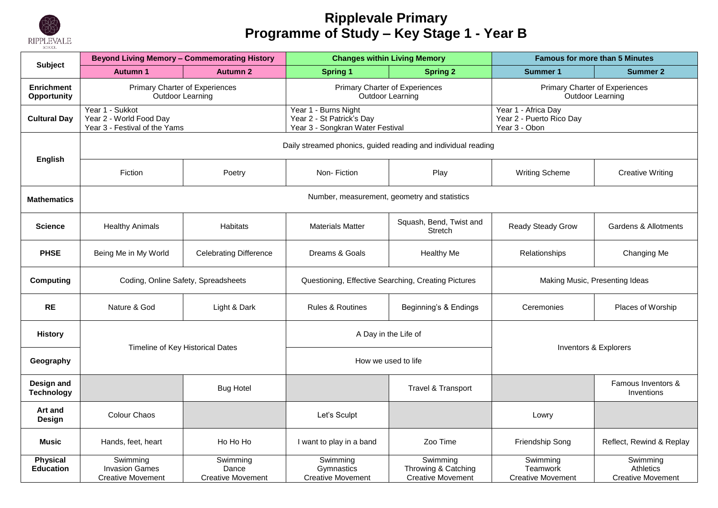

#### **Ripplevale Primary Programme of Study – Key Stage 1 - Year B**

| <b>Subject</b>                      | <b>Beyond Living Memory - Commemorating History</b>                         |                                               | <b>Changes within Living Memory</b>                                                   |                                                               | <b>Famous for more than 5 Minutes</b>                            |                                                   |
|-------------------------------------|-----------------------------------------------------------------------------|-----------------------------------------------|---------------------------------------------------------------------------------------|---------------------------------------------------------------|------------------------------------------------------------------|---------------------------------------------------|
|                                     | <b>Autumn 1</b>                                                             | <b>Autumn 2</b>                               | <b>Spring 1</b>                                                                       | <b>Spring 2</b>                                               | <b>Summer 1</b>                                                  | <b>Summer 2</b>                                   |
| <b>Enrichment</b><br>Opportunity    | Primary Charter of Experiences<br><b>Outdoor Learning</b>                   |                                               | Primary Charter of Experiences<br><b>Outdoor Learning</b>                             |                                                               | Primary Charter of Experiences<br><b>Outdoor Learning</b>        |                                                   |
| <b>Cultural Day</b>                 | Year 1 - Sukkot<br>Year 2 - World Food Day<br>Year 3 - Festival of the Yams |                                               | Year 1 - Burns Night<br>Year 2 - St Patrick's Day<br>Year 3 - Songkran Water Festival |                                                               | Year 1 - Africa Day<br>Year 2 - Puerto Rico Day<br>Year 3 - Obon |                                                   |
|                                     |                                                                             |                                               |                                                                                       | Daily streamed phonics, guided reading and individual reading |                                                                  |                                                   |
| <b>English</b>                      | Fiction                                                                     | Poetry                                        | Non-Fiction                                                                           | Play                                                          | <b>Writing Scheme</b>                                            | <b>Creative Writing</b>                           |
| <b>Mathematics</b>                  |                                                                             |                                               | Number, measurement, geometry and statistics                                          |                                                               |                                                                  |                                                   |
| <b>Science</b>                      | <b>Healthy Animals</b>                                                      | <b>Habitats</b>                               | <b>Materials Matter</b>                                                               | Squash, Bend, Twist and<br>Stretch                            | <b>Ready Steady Grow</b>                                         | Gardens & Allotments                              |
| <b>PHSE</b>                         | Being Me in My World                                                        | <b>Celebrating Difference</b>                 | Dreams & Goals                                                                        | <b>Healthy Me</b>                                             | Relationships                                                    | Changing Me                                       |
| <b>Computing</b>                    | Coding, Online Safety, Spreadsheets                                         |                                               | Questioning, Effective Searching, Creating Pictures                                   |                                                               | Making Music, Presenting Ideas                                   |                                                   |
| <b>RE</b>                           | Nature & God                                                                | Light & Dark                                  | <b>Rules &amp; Routines</b>                                                           | Beginning's & Endings                                         | Ceremonies                                                       | Places of Worship                                 |
| <b>History</b>                      | Timeline of Key Historical Dates                                            |                                               | A Day in the Life of                                                                  |                                                               | Inventors & Explorers                                            |                                                   |
| Geography                           |                                                                             |                                               |                                                                                       | How we used to life                                           |                                                                  |                                                   |
| Design and<br><b>Technology</b>     |                                                                             | <b>Bug Hotel</b>                              |                                                                                       | Travel & Transport                                            |                                                                  | Famous Inventors &<br>Inventions                  |
| Art and<br><b>Design</b>            | Colour Chaos                                                                |                                               | Let's Sculpt                                                                          |                                                               | Lowry                                                            |                                                   |
| Music                               | Hands, feet, heart                                                          | Ho Ho Ho                                      | I want to play in a band                                                              | Zoo Time                                                      | Friendship Song                                                  | Reflect, Rewind & Replay                          |
| <b>Physical</b><br><b>Education</b> | Swimming<br><b>Invasion Games</b><br><b>Creative Movement</b>               | Swimming<br>Dance<br><b>Creative Movement</b> | Swimming<br>Gymnastics<br><b>Creative Movement</b>                                    | Swimming<br>Throwing & Catching<br><b>Creative Movement</b>   | Swimming<br>Teamwork<br><b>Creative Movement</b>                 | Swimming<br>Athletics<br><b>Creative Movement</b> |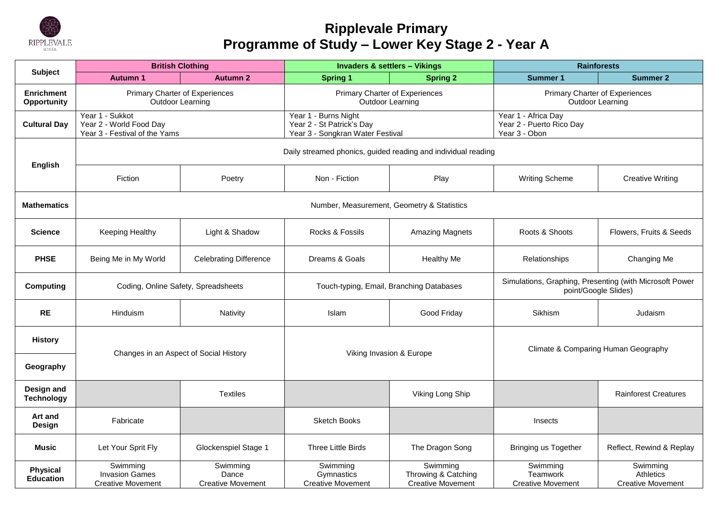

# **Ripplevale Primary Programme of Study – Lower Key Stage 2 - Year A**

|                                     | <b>British Clothing</b>                                                     |                                               | <b>Invaders &amp; settlers - Vikings</b>                                              |                                                             | <b>Rainforests</b>                                                              |                                                          |
|-------------------------------------|-----------------------------------------------------------------------------|-----------------------------------------------|---------------------------------------------------------------------------------------|-------------------------------------------------------------|---------------------------------------------------------------------------------|----------------------------------------------------------|
| <b>Subject</b>                      | <b>Autumn 1</b>                                                             | <b>Autumn 2</b>                               | <b>Spring 1</b>                                                                       | <b>Spring 2</b>                                             | <b>Summer 1</b>                                                                 | <b>Summer 2</b>                                          |
| <b>Enrichment</b><br>Opportunity    | Primary Charter of Experiences<br><b>Outdoor Learning</b>                   |                                               | Primary Charter of Experiences<br>Outdoor Learning                                    |                                                             | Primary Charter of Experiences<br>Outdoor Learning                              |                                                          |
| <b>Cultural Day</b>                 | Year 1 - Sukkot<br>Year 2 - World Food Day<br>Year 3 - Festival of the Yams |                                               | Year 1 - Burns Night<br>Year 2 - St Patrick's Day<br>Year 3 - Songkran Water Festival |                                                             | Year 1 - Africa Day<br>Year 2 - Puerto Rico Day<br>Year 3 - Obon                |                                                          |
|                                     |                                                                             |                                               | Daily streamed phonics, guided reading and individual reading                         |                                                             |                                                                                 |                                                          |
| English                             | Fiction                                                                     | Poetry                                        | Non - Fiction                                                                         | Play                                                        | <b>Writing Scheme</b>                                                           | <b>Creative Writing</b>                                  |
| <b>Mathematics</b>                  |                                                                             |                                               | Number, Measurement, Geometry & Statistics                                            |                                                             |                                                                                 |                                                          |
| <b>Science</b>                      | Keeping Healthy                                                             | Light & Shadow                                | Rocks & Fossils                                                                       | <b>Amazing Magnets</b>                                      | Roots & Shoots                                                                  | Flowers, Fruits & Seeds                                  |
| <b>PHSE</b>                         | Being Me in My World                                                        | <b>Celebrating Difference</b>                 | Dreams & Goals                                                                        | <b>Healthy Me</b>                                           | Relationships                                                                   | Changing Me                                              |
| <b>Computing</b>                    | Coding, Online Safety, Spreadsheets                                         |                                               | Touch-typing, Email, Branching Databases                                              |                                                             | Simulations, Graphing, Presenting (with Microsoft Power<br>point/Google Slides) |                                                          |
| <b>RE</b>                           | Hinduism                                                                    | Nativity                                      | Islam                                                                                 | Good Friday                                                 | Sikhism                                                                         | Judaism                                                  |
| <b>History</b>                      | Changes in an Aspect of Social History                                      |                                               | Viking Invasion & Europe                                                              |                                                             | Climate & Comparing Human Geography                                             |                                                          |
| Geography                           |                                                                             |                                               |                                                                                       |                                                             |                                                                                 |                                                          |
| Design and<br><b>Technology</b>     |                                                                             | <b>Textiles</b>                               |                                                                                       | Viking Long Ship                                            |                                                                                 | <b>Rainforest Creatures</b>                              |
| Art and<br>Design                   | Fabricate                                                                   |                                               | <b>Sketch Books</b>                                                                   |                                                             | Insects                                                                         |                                                          |
| Music                               | Let Your Sprit Fly                                                          | Glockenspiel Stage 1                          | <b>Three Little Birds</b>                                                             | The Dragon Song                                             | Bringing us Together                                                            | Reflect, Rewind & Replay                                 |
| <b>Physical</b><br><b>Education</b> | Swimming<br><b>Invasion Games</b><br><b>Creative Movement</b>               | Swimming<br>Dance<br><b>Creative Movement</b> | Swimming<br>Gymnastics<br><b>Creative Movement</b>                                    | Swimming<br>Throwing & Catching<br><b>Creative Movement</b> | Swimming<br>Teamwork<br><b>Creative Movement</b>                                | Swimming<br><b>Athletics</b><br><b>Creative Movement</b> |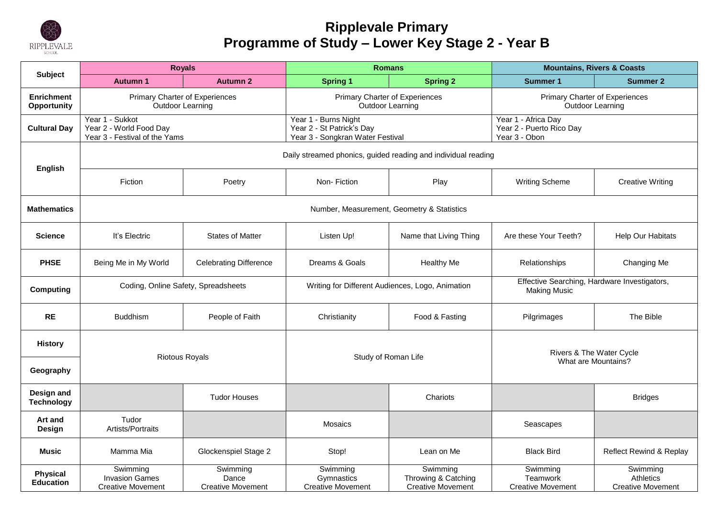

# **Ripplevale Primary Programme of Study – Lower Key Stage 2 - Year B**

|                                         | <b>Royals</b>                                                               |                                               | <b>Romans</b>                                                                         |                                                             | <b>Mountains, Rivers &amp; Coasts</b>                               |                                                   |
|-----------------------------------------|-----------------------------------------------------------------------------|-----------------------------------------------|---------------------------------------------------------------------------------------|-------------------------------------------------------------|---------------------------------------------------------------------|---------------------------------------------------|
| <b>Subject</b>                          | <b>Autumn 1</b>                                                             | <b>Autumn 2</b>                               | <b>Spring 1</b>                                                                       | <b>Spring 2</b>                                             | <b>Summer 1</b>                                                     | <b>Summer 2</b>                                   |
| <b>Enrichment</b><br><b>Opportunity</b> | Primary Charter of Experiences<br>Outdoor Learning                          |                                               | Primary Charter of Experiences<br><b>Outdoor Learning</b>                             |                                                             | <b>Primary Charter of Experiences</b><br>Outdoor Learning           |                                                   |
| <b>Cultural Day</b>                     | Year 1 - Sukkot<br>Year 2 - World Food Day<br>Year 3 - Festival of the Yams |                                               | Year 1 - Burns Night<br>Year 2 - St Patrick's Day<br>Year 3 - Songkran Water Festival |                                                             | Year 1 - Africa Day<br>Year 2 - Puerto Rico Day<br>Year 3 - Obon    |                                                   |
| English                                 | Daily streamed phonics, guided reading and individual reading               |                                               |                                                                                       |                                                             |                                                                     |                                                   |
|                                         | Fiction                                                                     | Poetry                                        | Non-Fiction                                                                           | Play                                                        | <b>Writing Scheme</b>                                               | <b>Creative Writing</b>                           |
| <b>Mathematics</b>                      |                                                                             |                                               | Number, Measurement, Geometry & Statistics                                            |                                                             |                                                                     |                                                   |
| Science                                 | It's Electric                                                               | <b>States of Matter</b>                       | Listen Up!                                                                            | Name that Living Thing                                      | Are these Your Teeth?                                               | Help Our Habitats                                 |
| <b>PHSE</b>                             | Being Me in My World                                                        | <b>Celebrating Difference</b>                 | Dreams & Goals                                                                        | <b>Healthy Me</b>                                           | Relationships                                                       | Changing Me                                       |
| <b>Computing</b>                        | Coding, Online Safety, Spreadsheets                                         |                                               | Writing for Different Audiences, Logo, Animation                                      |                                                             | Effective Searching, Hardware Investigators,<br><b>Making Music</b> |                                                   |
| <b>RE</b>                               | <b>Buddhism</b>                                                             | People of Faith                               | Christianity                                                                          | Food & Fasting                                              | Pilgrimages                                                         | The Bible                                         |
| <b>History</b>                          |                                                                             |                                               | Study of Roman Life                                                                   |                                                             | Rivers & The Water Cycle                                            |                                                   |
| Geography                               | <b>Riotous Royals</b>                                                       |                                               |                                                                                       |                                                             | What are Mountains?                                                 |                                                   |
| Design and<br><b>Technology</b>         |                                                                             | <b>Tudor Houses</b>                           |                                                                                       | Chariots                                                    |                                                                     | <b>Bridges</b>                                    |
| Art and<br>Design                       | Tudor<br>Artists/Portraits                                                  |                                               | <b>Mosaics</b>                                                                        |                                                             | Seascapes                                                           |                                                   |
| Music                                   | Mamma Mia                                                                   | Glockenspiel Stage 2                          | Stop!                                                                                 | Lean on Me                                                  | <b>Black Bird</b>                                                   | Reflect Rewind & Replay                           |
| <b>Physical</b><br><b>Education</b>     | Swimming<br><b>Invasion Games</b><br><b>Creative Movement</b>               | Swimming<br>Dance<br><b>Creative Movement</b> | Swimming<br>Gymnastics<br><b>Creative Movement</b>                                    | Swimming<br>Throwing & Catching<br><b>Creative Movement</b> | Swimming<br>Teamwork<br><b>Creative Movement</b>                    | Swimming<br>Athletics<br><b>Creative Movement</b> |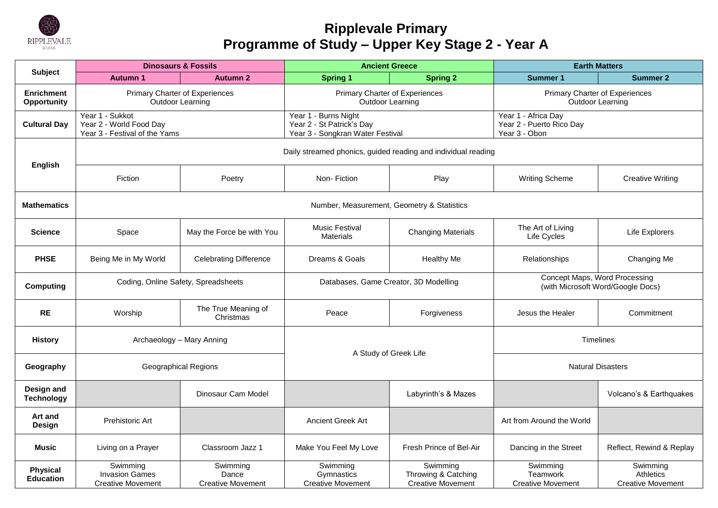

# **Ripplevale Primary Programme of Study – Upper Key Stage 2 - Year A**

| <b>Subject</b>                      | <b>Dinosaurs &amp; Fossils</b>                                              |                                               | <b>Ancient Greece</b>                                                                 |                                                               | <b>Earth Matters</b>                                               |                                                          |  |
|-------------------------------------|-----------------------------------------------------------------------------|-----------------------------------------------|---------------------------------------------------------------------------------------|---------------------------------------------------------------|--------------------------------------------------------------------|----------------------------------------------------------|--|
|                                     | <b>Autumn 1</b>                                                             | <b>Autumn 2</b>                               | <b>Spring 1</b>                                                                       | <b>Spring 2</b>                                               | <b>Summer 1</b>                                                    | <b>Summer 2</b>                                          |  |
| <b>Enrichment</b><br>Opportunity    | Primary Charter of Experiences<br>Outdoor Learning                          |                                               | Primary Charter of Experiences<br>Outdoor Learning                                    |                                                               | <b>Primary Charter of Experiences</b><br><b>Outdoor Learning</b>   |                                                          |  |
| <b>Cultural Day</b>                 | Year 1 - Sukkot<br>Year 2 - World Food Day<br>Year 3 - Festival of the Yams |                                               | Year 1 - Burns Night<br>Year 2 - St Patrick's Day<br>Year 3 - Songkran Water Festival |                                                               | Year 1 - Africa Day<br>Year 2 - Puerto Rico Day<br>Year 3 - Obon   |                                                          |  |
|                                     |                                                                             |                                               |                                                                                       | Daily streamed phonics, guided reading and individual reading |                                                                    |                                                          |  |
| <b>English</b>                      | Fiction                                                                     | Poetry                                        | Non-Fiction                                                                           | Play                                                          | <b>Writing Scheme</b>                                              | <b>Creative Writing</b>                                  |  |
| <b>Mathematics</b>                  |                                                                             |                                               |                                                                                       | Number, Measurement, Geometry & Statistics                    |                                                                    |                                                          |  |
| <b>Science</b>                      | Space                                                                       | May the Force be with You                     | <b>Music Festival</b><br><b>Materials</b>                                             | <b>Changing Materials</b>                                     | The Art of Living<br>Life Cycles                                   | Life Explorers                                           |  |
| <b>PHSE</b>                         | Being Me in My World                                                        | <b>Celebrating Difference</b>                 | Dreams & Goals                                                                        | <b>Healthy Me</b>                                             | Relationships                                                      | Changing Me                                              |  |
| <b>Computing</b>                    | Coding, Online Safety, Spreadsheets                                         |                                               | Databases, Game Creator, 3D Modelling                                                 |                                                               | Concept Maps, Word Processing<br>(with Microsoft Word/Google Docs) |                                                          |  |
| <b>RE</b>                           | Worship                                                                     | The True Meaning of<br>Christmas              | Peace                                                                                 | Forgiveness                                                   | Jesus the Healer                                                   | Commitment                                               |  |
| <b>History</b>                      | Archaeology - Mary Anning                                                   |                                               | A Study of Greek Life                                                                 |                                                               | Timelines                                                          |                                                          |  |
| Geography                           | <b>Geographical Regions</b>                                                 |                                               |                                                                                       |                                                               | <b>Natural Disasters</b>                                           |                                                          |  |
| Design and<br><b>Technology</b>     |                                                                             | Dinosaur Cam Model                            |                                                                                       | Labyrinth's & Mazes                                           |                                                                    | Volcano's & Earthquakes                                  |  |
| Art and<br><b>Design</b>            | Prehistoric Art                                                             |                                               | Ancient Greek Art                                                                     |                                                               | Art from Around the World                                          |                                                          |  |
| Music                               | Living on a Prayer                                                          | Classroom Jazz 1                              | Make You Feel My Love                                                                 | Fresh Prince of Bel-Air                                       | Dancing in the Street                                              | Reflect, Rewind & Replay                                 |  |
| <b>Physical</b><br><b>Education</b> | Swimming<br><b>Invasion Games</b><br><b>Creative Movement</b>               | Swimming<br>Dance<br><b>Creative Movement</b> | Swimming<br>Gymnastics<br><b>Creative Movement</b>                                    | Swimming<br>Throwing & Catching<br><b>Creative Movement</b>   | Swimming<br>Teamwork<br><b>Creative Movement</b>                   | Swimming<br><b>Athletics</b><br><b>Creative Movement</b> |  |